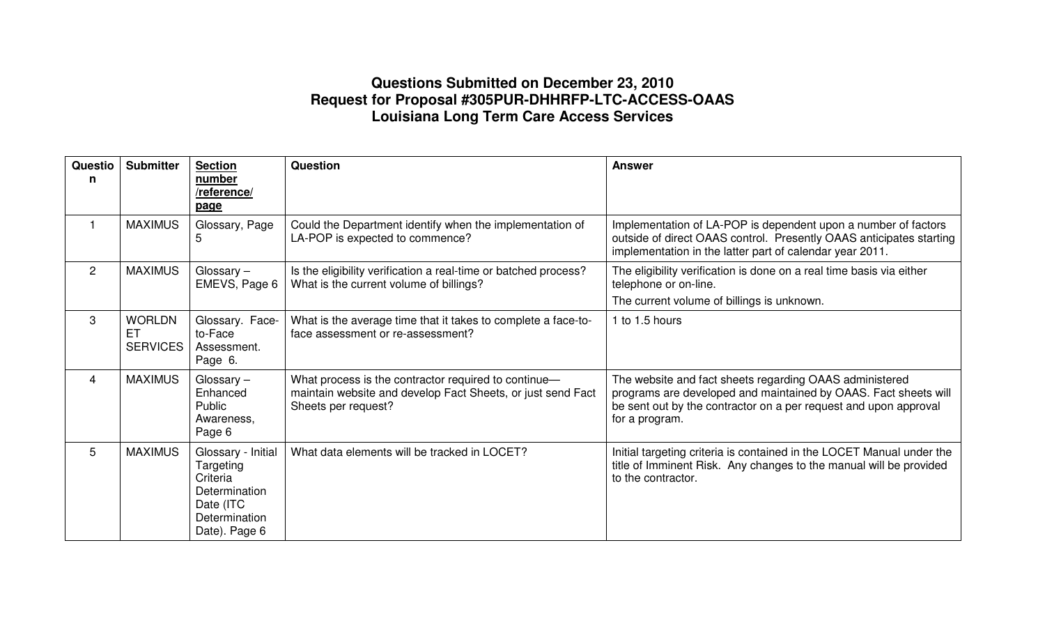## **Questions Submitted on December 23, 2010 Request for Proposal #305PUR-DHHRFP-LTC-ACCESS-OAAS Louisiana Long Term Care Access Services**

| Questio<br>n   | <b>Submitter</b>                       | <b>Section</b><br>number<br>/reference/<br>page                                                             | <b>Question</b>                                                                                                                            | <b>Answer</b>                                                                                                                                                                                                    |
|----------------|----------------------------------------|-------------------------------------------------------------------------------------------------------------|--------------------------------------------------------------------------------------------------------------------------------------------|------------------------------------------------------------------------------------------------------------------------------------------------------------------------------------------------------------------|
| $\mathbf{1}$   | <b>MAXIMUS</b>                         | Glossary, Page<br>5                                                                                         | Could the Department identify when the implementation of<br>LA-POP is expected to commence?                                                | Implementation of LA-POP is dependent upon a number of factors<br>outside of direct OAAS control. Presently OAAS anticipates starting<br>implementation in the latter part of calendar year 2011.                |
| $\overline{2}$ | <b>MAXIMUS</b>                         | Glossary-<br>EMEVS, Page 6                                                                                  | Is the eligibility verification a real-time or batched process?<br>What is the current volume of billings?                                 | The eligibility verification is done on a real time basis via either<br>telephone or on-line.<br>The current volume of billings is unknown.                                                                      |
| 3              | <b>WORLDN</b><br>EТ<br><b>SERVICES</b> | Glossary. Face-<br>to-Face<br>Assessment.<br>Page 6.                                                        | What is the average time that it takes to complete a face-to-<br>face assessment or re-assessment?                                         | 1 to 1.5 hours                                                                                                                                                                                                   |
| $\overline{4}$ | <b>MAXIMUS</b>                         | Glossary $-$<br>Enhanced<br>Public<br>Awareness,<br>Page 6                                                  | What process is the contractor required to continue-<br>maintain website and develop Fact Sheets, or just send Fact<br>Sheets per request? | The website and fact sheets regarding OAAS administered<br>programs are developed and maintained by OAAS. Fact sheets will<br>be sent out by the contractor on a per request and upon approval<br>for a program. |
| 5              | <b>MAXIMUS</b>                         | Glossary - Initial<br>Targeting<br>Criteria<br>Determination<br>Date (ITC<br>Determination<br>Date). Page 6 | What data elements will be tracked in LOCET?                                                                                               | Initial targeting criteria is contained in the LOCET Manual under the<br>title of Imminent Risk. Any changes to the manual will be provided<br>to the contractor.                                                |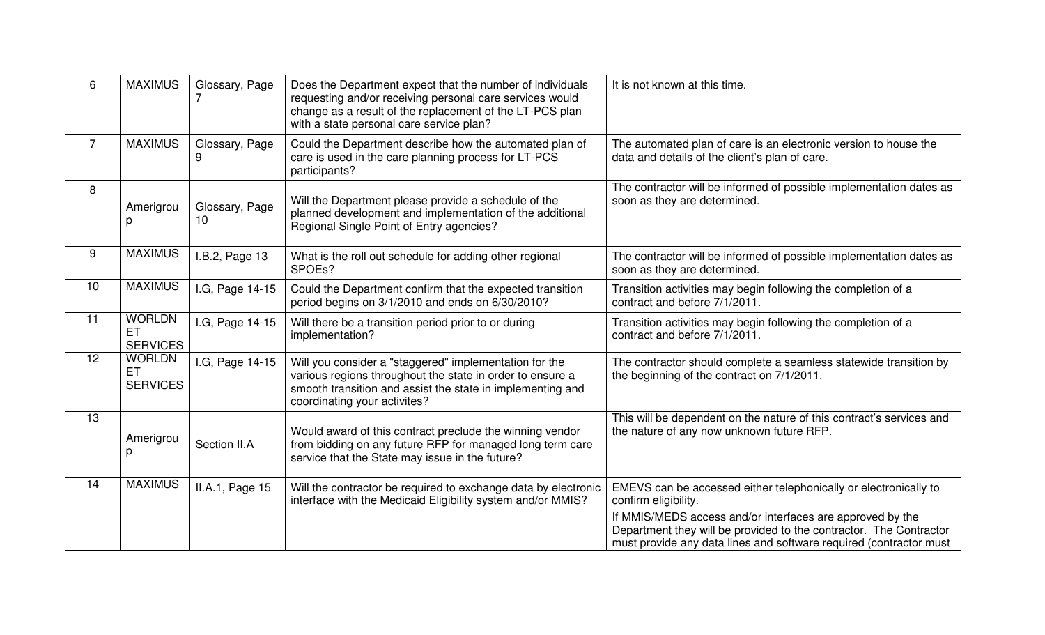| 6              | <b>MAXIMUS</b>                         | Glossary, Page       | Does the Department expect that the number of individuals<br>requesting and/or receiving personal care services would<br>change as a result of the replacement of the LT-PCS plan<br>with a state personal care service plan? | It is not known at this time.                                                                                                                                                                                                                                                                     |
|----------------|----------------------------------------|----------------------|-------------------------------------------------------------------------------------------------------------------------------------------------------------------------------------------------------------------------------|---------------------------------------------------------------------------------------------------------------------------------------------------------------------------------------------------------------------------------------------------------------------------------------------------|
| $\overline{7}$ | <b>MAXIMUS</b>                         | Glossary, Page       | Could the Department describe how the automated plan of<br>care is used in the care planning process for LT-PCS<br>participants?                                                                                              | The automated plan of care is an electronic version to house the<br>data and details of the client's plan of care.                                                                                                                                                                                |
| 8              | Amerigrou<br>р                         | Glossary, Page<br>10 | Will the Department please provide a schedule of the<br>planned development and implementation of the additional<br>Regional Single Point of Entry agencies?                                                                  | The contractor will be informed of possible implementation dates as<br>soon as they are determined.                                                                                                                                                                                               |
| 9              | <b>MAXIMUS</b>                         | .B.2, Page 13        | What is the roll out schedule for adding other regional<br>SPOEs?                                                                                                                                                             | The contractor will be informed of possible implementation dates as<br>soon as they are determined.                                                                                                                                                                                               |
| 10             | <b>MAXIMUS</b>                         | I.G, Page 14-15      | Could the Department confirm that the expected transition<br>period begins on 3/1/2010 and ends on 6/30/2010?                                                                                                                 | Transition activities may begin following the completion of a<br>contract and before 7/1/2011.                                                                                                                                                                                                    |
| 11             | <b>WORLDN</b><br>ET<br><b>SERVICES</b> | I.G, Page 14-15      | Will there be a transition period prior to or during<br>implementation?                                                                                                                                                       | Transition activities may begin following the completion of a<br>contract and before 7/1/2011.                                                                                                                                                                                                    |
| 12             | <b>WORLDN</b><br>ET<br><b>SERVICES</b> | I.G, Page 14-15      | Will you consider a "staggered" implementation for the<br>various regions throughout the state in order to ensure a<br>smooth transition and assist the state in implementing and<br>coordinating your activites?             | The contractor should complete a seamless statewide transition by<br>the beginning of the contract on 7/1/2011.                                                                                                                                                                                   |
| 13             | Amerigrou<br>р                         | Section II.A         | Would award of this contract preclude the winning vendor<br>from bidding on any future RFP for managed long term care<br>service that the State may issue in the future?                                                      | This will be dependent on the nature of this contract's services and<br>the nature of any now unknown future RFP.                                                                                                                                                                                 |
| 14             | <b>MAXIMUS</b>                         | II.A.1, Page 15      | Will the contractor be required to exchange data by electronic<br>interface with the Medicaid Eligibility system and/or MMIS?                                                                                                 | EMEVS can be accessed either telephonically or electronically to<br>confirm eligibility.<br>If MMIS/MEDS access and/or interfaces are approved by the<br>Department they will be provided to the contractor. The Contractor<br>must provide any data lines and software required (contractor must |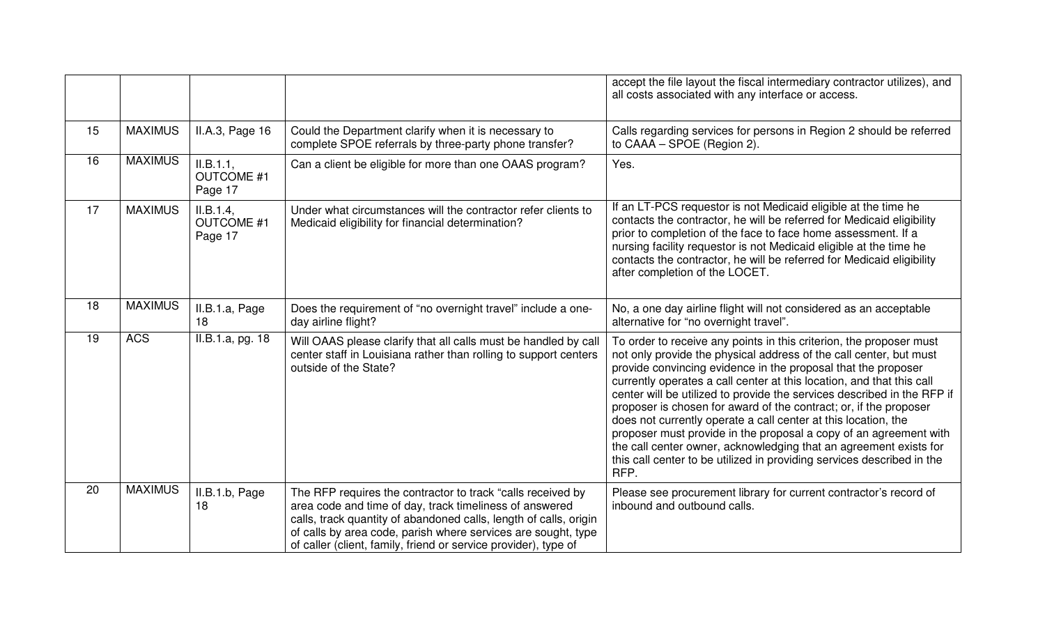|    |                |                                           |                                                                                                                                                                                                                                                                                                                                 | accept the file layout the fiscal intermediary contractor utilizes), and<br>all costs associated with any interface or access.                                                                                                                                                                                                                                                                                                                                                                                                                                                                                                                                                                                                    |
|----|----------------|-------------------------------------------|---------------------------------------------------------------------------------------------------------------------------------------------------------------------------------------------------------------------------------------------------------------------------------------------------------------------------------|-----------------------------------------------------------------------------------------------------------------------------------------------------------------------------------------------------------------------------------------------------------------------------------------------------------------------------------------------------------------------------------------------------------------------------------------------------------------------------------------------------------------------------------------------------------------------------------------------------------------------------------------------------------------------------------------------------------------------------------|
| 15 | <b>MAXIMUS</b> | II.A.3, Page 16                           | Could the Department clarify when it is necessary to<br>complete SPOE referrals by three-party phone transfer?                                                                                                                                                                                                                  | Calls regarding services for persons in Region 2 should be referred<br>to CAAA - SPOE (Region 2).                                                                                                                                                                                                                                                                                                                                                                                                                                                                                                                                                                                                                                 |
| 16 | <b>MAXIMUS</b> | II.B.1.1,<br><b>OUTCOME #1</b><br>Page 17 | Can a client be eligible for more than one OAAS program?                                                                                                                                                                                                                                                                        | Yes.                                                                                                                                                                                                                                                                                                                                                                                                                                                                                                                                                                                                                                                                                                                              |
| 17 | <b>MAXIMUS</b> | II.B.1.4,<br><b>OUTCOME #1</b><br>Page 17 | Under what circumstances will the contractor refer clients to<br>Medicaid eligibility for financial determination?                                                                                                                                                                                                              | If an LT-PCS requestor is not Medicaid eligible at the time he<br>contacts the contractor, he will be referred for Medicaid eligibility<br>prior to completion of the face to face home assessment. If a<br>nursing facility requestor is not Medicaid eligible at the time he<br>contacts the contractor, he will be referred for Medicaid eligibility<br>after completion of the LOCET.                                                                                                                                                                                                                                                                                                                                         |
| 18 | <b>MAXIMUS</b> | II.B.1.a, Page<br>18                      | Does the requirement of "no overnight travel" include a one-<br>day airline flight?                                                                                                                                                                                                                                             | No, a one day airline flight will not considered as an acceptable<br>alternative for "no overnight travel".                                                                                                                                                                                                                                                                                                                                                                                                                                                                                                                                                                                                                       |
| 19 | <b>ACS</b>     | II.B.1.a, pg. 18                          | Will OAAS please clarify that all calls must be handled by call<br>center staff in Louisiana rather than rolling to support centers<br>outside of the State?                                                                                                                                                                    | To order to receive any points in this criterion, the proposer must<br>not only provide the physical address of the call center, but must<br>provide convincing evidence in the proposal that the proposer<br>currently operates a call center at this location, and that this call<br>center will be utilized to provide the services described in the RFP if<br>proposer is chosen for award of the contract; or, if the proposer<br>does not currently operate a call center at this location, the<br>proposer must provide in the proposal a copy of an agreement with<br>the call center owner, acknowledging that an agreement exists for<br>this call center to be utilized in providing services described in the<br>RFP. |
| 20 | <b>MAXIMUS</b> | II.B.1.b, Page<br>18                      | The RFP requires the contractor to track "calls received by<br>area code and time of day, track timeliness of answered<br>calls, track quantity of abandoned calls, length of calls, origin<br>of calls by area code, parish where services are sought, type<br>of caller (client, family, friend or service provider), type of | Please see procurement library for current contractor's record of<br>inbound and outbound calls.                                                                                                                                                                                                                                                                                                                                                                                                                                                                                                                                                                                                                                  |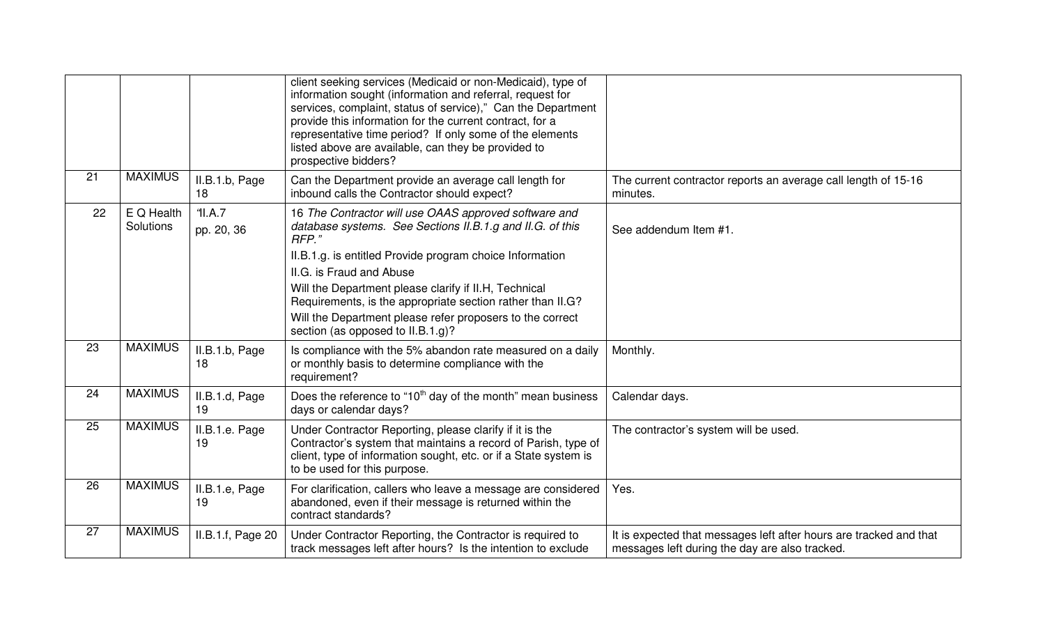|    |                         |                       | client seeking services (Medicaid or non-Medicaid), type of<br>information sought (information and referral, request for<br>services, complaint, status of service)," Can the Department<br>provide this information for the current contract, for a<br>representative time period? If only some of the elements<br>listed above are available, can they be provided to<br>prospective bidders?                                              |                                                                                                                      |
|----|-------------------------|-----------------------|----------------------------------------------------------------------------------------------------------------------------------------------------------------------------------------------------------------------------------------------------------------------------------------------------------------------------------------------------------------------------------------------------------------------------------------------|----------------------------------------------------------------------------------------------------------------------|
| 21 | <b>MAXIMUS</b>          | II.B.1.b, Page<br>18  | Can the Department provide an average call length for<br>inbound calls the Contractor should expect?                                                                                                                                                                                                                                                                                                                                         | The current contractor reports an average call length of 15-16<br>minutes.                                           |
| 22 | E Q Health<br>Solutions | 'll.A.7<br>pp. 20, 36 | 16 The Contractor will use OAAS approved software and<br>database systems. See Sections II.B.1.g and II.G. of this<br>RFP."<br>II.B.1.g. is entitled Provide program choice Information<br>II.G. is Fraud and Abuse<br>Will the Department please clarify if II.H, Technical<br>Requirements, is the appropriate section rather than II.G?<br>Will the Department please refer proposers to the correct<br>section (as opposed to II.B.1.g)? | See addendum Item #1.                                                                                                |
| 23 | <b>MAXIMUS</b>          | II.B.1.b, Page<br>18  | Is compliance with the 5% abandon rate measured on a daily<br>or monthly basis to determine compliance with the<br>requirement?                                                                                                                                                                                                                                                                                                              | Monthly.                                                                                                             |
| 24 | <b>MAXIMUS</b>          | II.B.1.d, Page<br>19  | Does the reference to "10 <sup>th</sup> day of the month" mean business<br>days or calendar days?                                                                                                                                                                                                                                                                                                                                            | Calendar days.                                                                                                       |
| 25 | <b>MAXIMUS</b>          | II.B.1.e. Page<br>19  | Under Contractor Reporting, please clarify if it is the<br>Contractor's system that maintains a record of Parish, type of<br>client, type of information sought, etc. or if a State system is<br>to be used for this purpose.                                                                                                                                                                                                                | The contractor's system will be used.                                                                                |
| 26 | <b>MAXIMUS</b>          | II.B.1.e, Page<br>19  | For clarification, callers who leave a message are considered<br>abandoned, even if their message is returned within the<br>contract standards?                                                                                                                                                                                                                                                                                              | Yes.                                                                                                                 |
| 27 | <b>MAXIMUS</b>          | II.B.1.f, Page 20     | Under Contractor Reporting, the Contractor is required to<br>track messages left after hours? Is the intention to exclude                                                                                                                                                                                                                                                                                                                    | It is expected that messages left after hours are tracked and that<br>messages left during the day are also tracked. |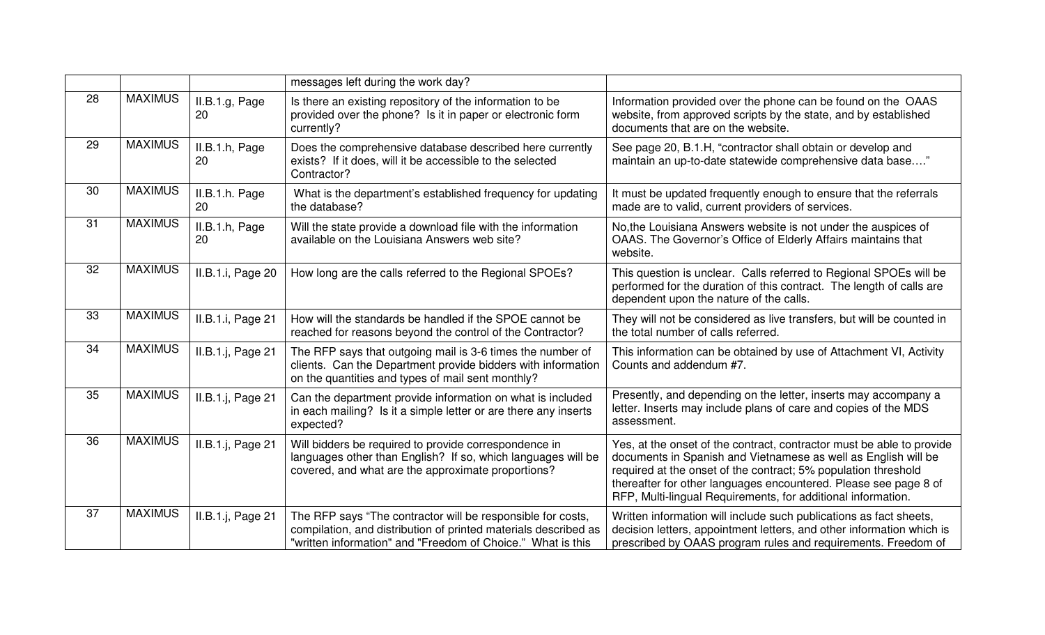|                 |                |                      | messages left during the work day?                                                                                                                                                            |                                                                                                                                                                                                                                                                                                                                               |
|-----------------|----------------|----------------------|-----------------------------------------------------------------------------------------------------------------------------------------------------------------------------------------------|-----------------------------------------------------------------------------------------------------------------------------------------------------------------------------------------------------------------------------------------------------------------------------------------------------------------------------------------------|
| 28              | <b>MAXIMUS</b> | II.B.1.g, Page<br>20 | Is there an existing repository of the information to be<br>provided over the phone? Is it in paper or electronic form<br>currently?                                                          | Information provided over the phone can be found on the OAAS<br>website, from approved scripts by the state, and by established<br>documents that are on the website.                                                                                                                                                                         |
| 29              | <b>MAXIMUS</b> | II.B.1.h, Page<br>20 | Does the comprehensive database described here currently<br>exists? If it does, will it be accessible to the selected<br>Contractor?                                                          | See page 20, B.1.H, "contractor shall obtain or develop and<br>maintain an up-to-date statewide comprehensive data base"                                                                                                                                                                                                                      |
| 30              | <b>MAXIMUS</b> | II.B.1.h. Page<br>20 | What is the department's established frequency for updating<br>the database?                                                                                                                  | It must be updated frequently enough to ensure that the referrals<br>made are to valid, current providers of services.                                                                                                                                                                                                                        |
| 31              | <b>MAXIMUS</b> | II.B.1.h, Page<br>20 | Will the state provide a download file with the information<br>available on the Louisiana Answers web site?                                                                                   | No, the Louisiana Answers website is not under the auspices of<br>OAAS. The Governor's Office of Elderly Affairs maintains that<br>website.                                                                                                                                                                                                   |
| $\overline{32}$ | <b>MAXIMUS</b> | II.B.1.i, Page 20    | How long are the calls referred to the Regional SPOEs?                                                                                                                                        | This question is unclear. Calls referred to Regional SPOEs will be<br>performed for the duration of this contract. The length of calls are<br>dependent upon the nature of the calls.                                                                                                                                                         |
| 33              | <b>MAXIMUS</b> | II.B.1.i, Page 21    | How will the standards be handled if the SPOE cannot be<br>reached for reasons beyond the control of the Contractor?                                                                          | They will not be considered as live transfers, but will be counted in<br>the total number of calls referred.                                                                                                                                                                                                                                  |
| 34              | <b>MAXIMUS</b> | II.B.1.j, Page 21    | The RFP says that outgoing mail is 3-6 times the number of<br>clients. Can the Department provide bidders with information<br>on the quantities and types of mail sent monthly?               | This information can be obtained by use of Attachment VI, Activity<br>Counts and addendum #7.                                                                                                                                                                                                                                                 |
| 35              | <b>MAXIMUS</b> | II.B.1.j, Page 21    | Can the department provide information on what is included<br>in each mailing? Is it a simple letter or are there any inserts<br>expected?                                                    | Presently, and depending on the letter, inserts may accompany a<br>letter. Inserts may include plans of care and copies of the MDS<br>assessment.                                                                                                                                                                                             |
| 36              | <b>MAXIMUS</b> | II.B.1.j, Page 21    | Will bidders be required to provide correspondence in<br>languages other than English? If so, which languages will be<br>covered, and what are the approximate proportions?                   | Yes, at the onset of the contract, contractor must be able to provide<br>documents in Spanish and Vietnamese as well as English will be<br>required at the onset of the contract; 5% population threshold<br>thereafter for other languages encountered. Please see page 8 of<br>RFP, Multi-lingual Requirements, for additional information. |
| 37              | <b>MAXIMUS</b> | II.B.1.j, Page 21    | The RFP says "The contractor will be responsible for costs,<br>compilation, and distribution of printed materials described as<br>"written information" and "Freedom of Choice." What is this | Written information will include such publications as fact sheets,<br>decision letters, appointment letters, and other information which is<br>prescribed by OAAS program rules and requirements. Freedom of                                                                                                                                  |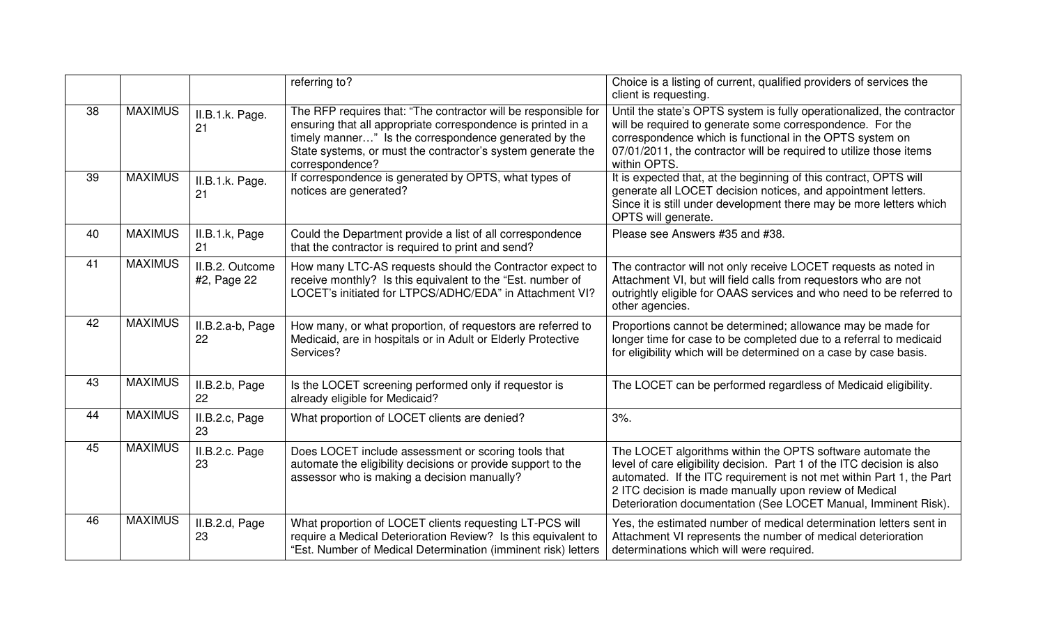|                 |                |                                | referring to?                                                                                                                                                                                                                                                             | Choice is a listing of current, qualified providers of services the<br>client is requesting.                                                                                                                                                                                                                                             |
|-----------------|----------------|--------------------------------|---------------------------------------------------------------------------------------------------------------------------------------------------------------------------------------------------------------------------------------------------------------------------|------------------------------------------------------------------------------------------------------------------------------------------------------------------------------------------------------------------------------------------------------------------------------------------------------------------------------------------|
| 38              | <b>MAXIMUS</b> | II.B.1.k. Page.<br>21          | The RFP requires that: "The contractor will be responsible for<br>ensuring that all appropriate correspondence is printed in a<br>timely manner" Is the correspondence generated by the<br>State systems, or must the contractor's system generate the<br>correspondence? | Until the state's OPTS system is fully operationalized, the contractor<br>will be required to generate some correspondence. For the<br>correspondence which is functional in the OPTS system on<br>07/01/2011, the contractor will be required to utilize those items<br>within OPTS.                                                    |
| 39              | <b>MAXIMUS</b> | II.B.1.k. Page.<br>21          | If correspondence is generated by OPTS, what types of<br>notices are generated?                                                                                                                                                                                           | It is expected that, at the beginning of this contract, OPTS will<br>generate all LOCET decision notices, and appointment letters.<br>Since it is still under development there may be more letters which<br>OPTS will generate.                                                                                                         |
| 40              | <b>MAXIMUS</b> | II.B.1.k, Page<br>21           | Could the Department provide a list of all correspondence<br>that the contractor is required to print and send?                                                                                                                                                           | Please see Answers #35 and #38.                                                                                                                                                                                                                                                                                                          |
| 41              | <b>MAXIMUS</b> | II.B.2. Outcome<br>#2, Page 22 | How many LTC-AS requests should the Contractor expect to<br>receive monthly? Is this equivalent to the "Est. number of<br>LOCET's initiated for LTPCS/ADHC/EDA" in Attachment VI?                                                                                         | The contractor will not only receive LOCET requests as noted in<br>Attachment VI, but will field calls from requestors who are not<br>outrightly eligible for OAAS services and who need to be referred to<br>other agencies.                                                                                                            |
| 42              | <b>MAXIMUS</b> | II.B.2.a-b, Page<br>22         | How many, or what proportion, of requestors are referred to<br>Medicaid, are in hospitals or in Adult or Elderly Protective<br>Services?                                                                                                                                  | Proportions cannot be determined; allowance may be made for<br>longer time for case to be completed due to a referral to medicaid<br>for eligibility which will be determined on a case by case basis.                                                                                                                                   |
| 43              | <b>MAXIMUS</b> | II.B.2.b, Page<br>22           | Is the LOCET screening performed only if requestor is<br>already eligible for Medicaid?                                                                                                                                                                                   | The LOCET can be performed regardless of Medicaid eligibility.                                                                                                                                                                                                                                                                           |
| 44              | <b>MAXIMUS</b> | II.B.2.c, Page<br>23           | What proportion of LOCET clients are denied?                                                                                                                                                                                                                              | 3%                                                                                                                                                                                                                                                                                                                                       |
| 45              | <b>MAXIMUS</b> | II.B.2.c. Page<br>23           | Does LOCET include assessment or scoring tools that<br>automate the eligibility decisions or provide support to the<br>assessor who is making a decision manually?                                                                                                        | The LOCET algorithms within the OPTS software automate the<br>level of care eligibility decision. Part 1 of the ITC decision is also<br>automated. If the ITC requirement is not met within Part 1, the Part<br>2 ITC decision is made manually upon review of Medical<br>Deterioration documentation (See LOCET Manual, Imminent Risk). |
| $\overline{46}$ | <b>MAXIMUS</b> | II.B.2.d, Page<br>23           | What proportion of LOCET clients requesting LT-PCS will<br>require a Medical Deterioration Review? Is this equivalent to<br>"Est. Number of Medical Determination (imminent risk) letters                                                                                 | Yes, the estimated number of medical determination letters sent in<br>Attachment VI represents the number of medical deterioration<br>determinations which will were required.                                                                                                                                                           |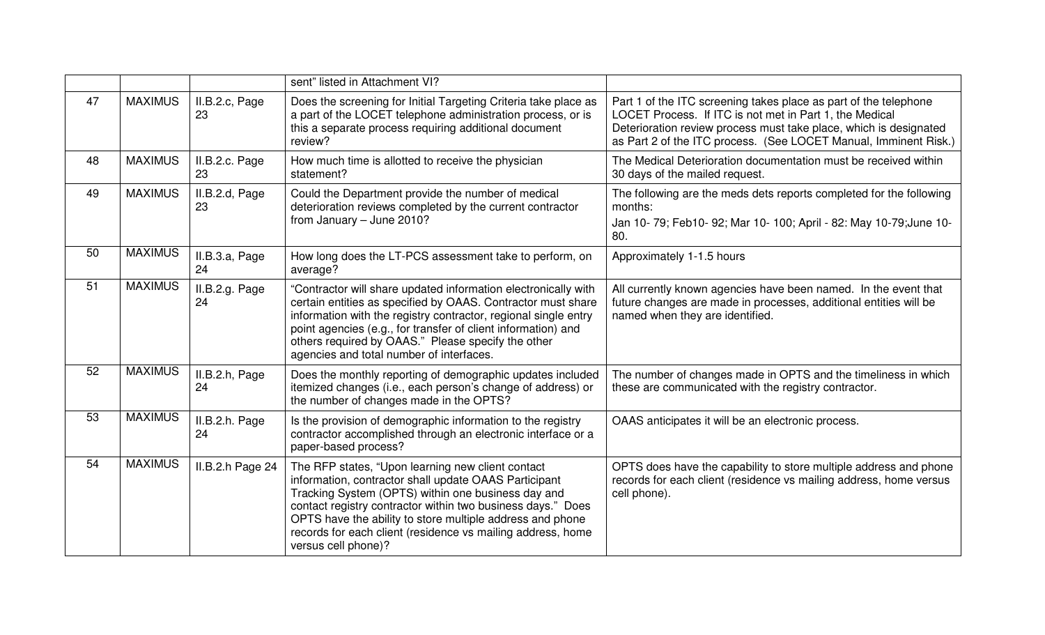|    |                |                      | sent" listed in Attachment VI?                                                                                                                                                                                                                                                                                                                                                     |                                                                                                                                                                                                                                                                      |
|----|----------------|----------------------|------------------------------------------------------------------------------------------------------------------------------------------------------------------------------------------------------------------------------------------------------------------------------------------------------------------------------------------------------------------------------------|----------------------------------------------------------------------------------------------------------------------------------------------------------------------------------------------------------------------------------------------------------------------|
| 47 | <b>MAXIMUS</b> | II.B.2.c, Page<br>23 | Does the screening for Initial Targeting Criteria take place as<br>a part of the LOCET telephone administration process, or is<br>this a separate process requiring additional document<br>review?                                                                                                                                                                                 | Part 1 of the ITC screening takes place as part of the telephone<br>LOCET Process. If ITC is not met in Part 1, the Medical<br>Deterioration review process must take place, which is designated<br>as Part 2 of the ITC process. (See LOCET Manual, Imminent Risk.) |
| 48 | <b>MAXIMUS</b> | II.B.2.c. Page<br>23 | How much time is allotted to receive the physician<br>statement?                                                                                                                                                                                                                                                                                                                   | The Medical Deterioration documentation must be received within<br>30 days of the mailed request.                                                                                                                                                                    |
| 49 | <b>MAXIMUS</b> | II.B.2.d, Page<br>23 | Could the Department provide the number of medical<br>deterioration reviews completed by the current contractor<br>from January - June 2010?                                                                                                                                                                                                                                       | The following are the meds dets reports completed for the following<br>months:<br>Jan 10-79; Feb10-92; Mar 10-100; April - 82: May 10-79; June 10-<br>80.                                                                                                            |
| 50 | <b>MAXIMUS</b> | II.B.3.a, Page<br>24 | How long does the LT-PCS assessment take to perform, on<br>average?                                                                                                                                                                                                                                                                                                                | Approximately 1-1.5 hours                                                                                                                                                                                                                                            |
| 51 | <b>MAXIMUS</b> | II.B.2.g. Page<br>24 | "Contractor will share updated information electronically with<br>certain entities as specified by OAAS. Contractor must share<br>information with the registry contractor, regional single entry<br>point agencies (e.g., for transfer of client information) and<br>others required by OAAS." Please specify the other<br>agencies and total number of interfaces.               | All currently known agencies have been named. In the event that<br>future changes are made in processes, additional entities will be<br>named when they are identified.                                                                                              |
| 52 | <b>MAXIMUS</b> | II.B.2.h, Page<br>24 | Does the monthly reporting of demographic updates included<br>itemized changes (i.e., each person's change of address) or<br>the number of changes made in the OPTS?                                                                                                                                                                                                               | The number of changes made in OPTS and the timeliness in which<br>these are communicated with the registry contractor.                                                                                                                                               |
| 53 | <b>MAXIMUS</b> | II.B.2.h. Page<br>24 | Is the provision of demographic information to the registry<br>contractor accomplished through an electronic interface or a<br>paper-based process?                                                                                                                                                                                                                                | OAAS anticipates it will be an electronic process.                                                                                                                                                                                                                   |
| 54 | <b>MAXIMUS</b> | II.B.2.h Page 24     | The RFP states, "Upon learning new client contact<br>information, contractor shall update OAAS Participant<br>Tracking System (OPTS) within one business day and<br>contact registry contractor within two business days." Does<br>OPTS have the ability to store multiple address and phone<br>records for each client (residence vs mailing address, home<br>versus cell phone)? | OPTS does have the capability to store multiple address and phone<br>records for each client (residence vs mailing address, home versus<br>cell phone).                                                                                                              |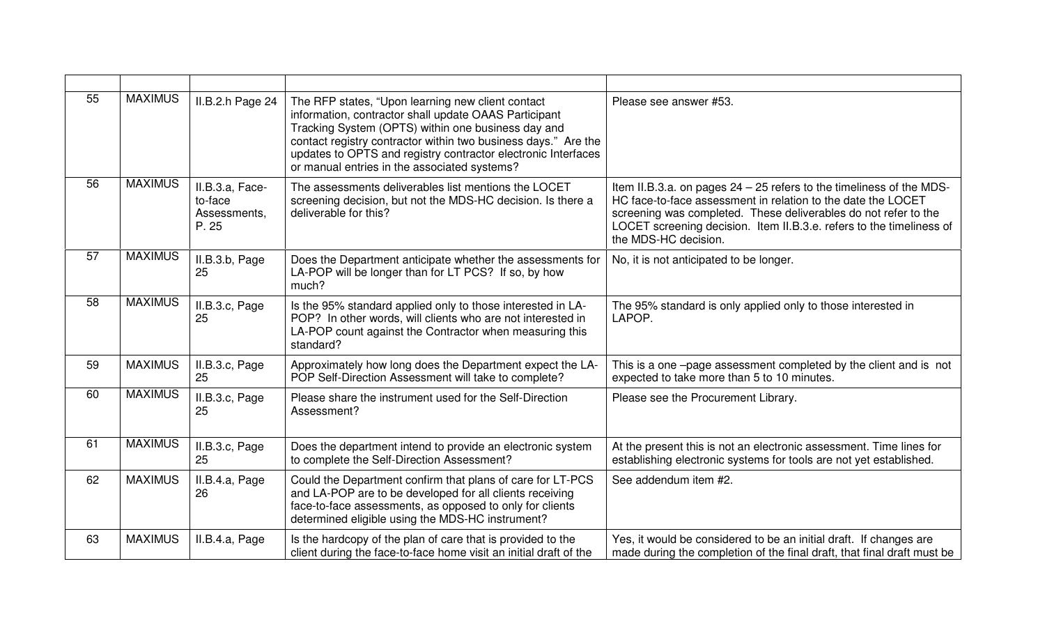| 55 | <b>MAXIMUS</b> | II.B.2.h Page 24                                    | The RFP states, "Upon learning new client contact<br>information, contractor shall update OAAS Participant<br>Tracking System (OPTS) within one business day and<br>contact registry contractor within two business days." Are the<br>updates to OPTS and registry contractor electronic Interfaces<br>or manual entries in the associated systems? | Please see answer #53.                                                                                                                                                                                                                                                                                  |
|----|----------------|-----------------------------------------------------|-----------------------------------------------------------------------------------------------------------------------------------------------------------------------------------------------------------------------------------------------------------------------------------------------------------------------------------------------------|---------------------------------------------------------------------------------------------------------------------------------------------------------------------------------------------------------------------------------------------------------------------------------------------------------|
| 56 | <b>MAXIMUS</b> | II.B.3.a, Face-<br>to-face<br>Assessments,<br>P. 25 | The assessments deliverables list mentions the LOCET<br>screening decision, but not the MDS-HC decision. Is there a<br>deliverable for this?                                                                                                                                                                                                        | Item II.B.3.a. on pages 24 - 25 refers to the timeliness of the MDS-<br>HC face-to-face assessment in relation to the date the LOCET<br>screening was completed. These deliverables do not refer to the<br>LOCET screening decision. Item II.B.3.e. refers to the timeliness of<br>the MDS-HC decision. |
| 57 | <b>MAXIMUS</b> | II.B.3.b, Page<br>25                                | Does the Department anticipate whether the assessments for<br>LA-POP will be longer than for LT PCS? If so, by how<br>much?                                                                                                                                                                                                                         | No, it is not anticipated to be longer.                                                                                                                                                                                                                                                                 |
| 58 | <b>MAXIMUS</b> | II.B.3.c, Page<br>25                                | Is the 95% standard applied only to those interested in LA-<br>POP? In other words, will clients who are not interested in<br>LA-POP count against the Contractor when measuring this<br>standard?                                                                                                                                                  | The 95% standard is only applied only to those interested in<br>LAPOP.                                                                                                                                                                                                                                  |
| 59 | <b>MAXIMUS</b> | II.B.3.c, Page<br>25                                | Approximately how long does the Department expect the LA-<br>POP Self-Direction Assessment will take to complete?                                                                                                                                                                                                                                   | This is a one -page assessment completed by the client and is not<br>expected to take more than 5 to 10 minutes.                                                                                                                                                                                        |
| 60 | <b>MAXIMUS</b> | II.B.3.c, Page<br>25                                | Please share the instrument used for the Self-Direction<br>Assessment?                                                                                                                                                                                                                                                                              | Please see the Procurement Library.                                                                                                                                                                                                                                                                     |
| 61 | <b>MAXIMUS</b> | II.B.3.c, Page<br>25                                | Does the department intend to provide an electronic system<br>to complete the Self-Direction Assessment?                                                                                                                                                                                                                                            | At the present this is not an electronic assessment. Time lines for<br>establishing electronic systems for tools are not yet established.                                                                                                                                                               |
| 62 | <b>MAXIMUS</b> | II.B.4.a, Page<br>26                                | Could the Department confirm that plans of care for LT-PCS<br>and LA-POP are to be developed for all clients receiving<br>face-to-face assessments, as opposed to only for clients<br>determined eligible using the MDS-HC instrument?                                                                                                              | See addendum item #2.                                                                                                                                                                                                                                                                                   |
| 63 | <b>MAXIMUS</b> | II.B.4.a, Page                                      | Is the hardcopy of the plan of care that is provided to the<br>client during the face-to-face home visit an initial draft of the                                                                                                                                                                                                                    | Yes, it would be considered to be an initial draft. If changes are<br>made during the completion of the final draft, that final draft must be                                                                                                                                                           |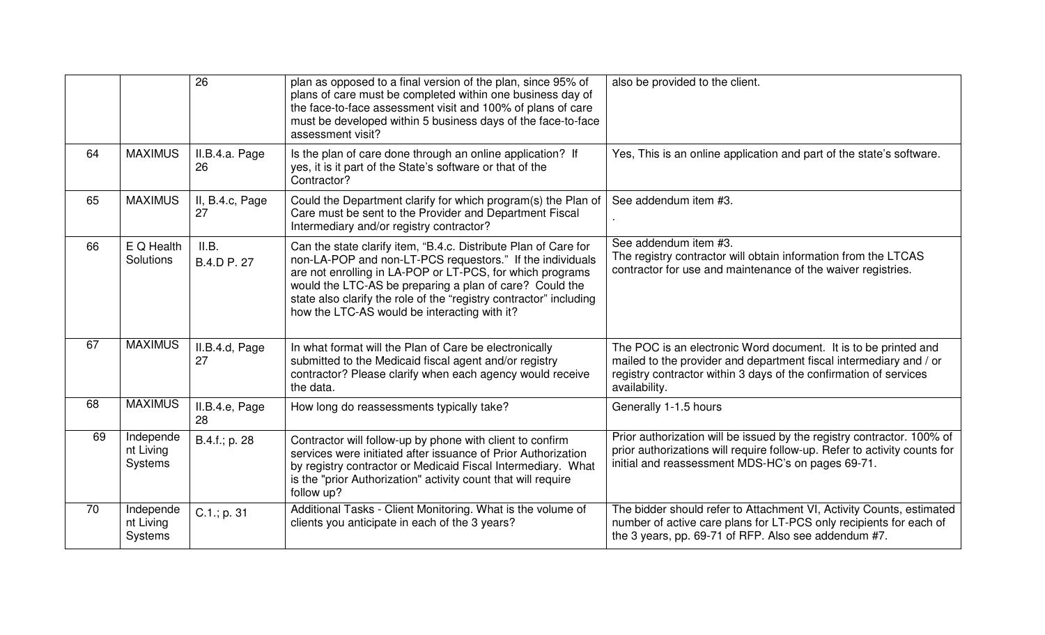|    |                                   | $\overline{26}$       | plan as opposed to a final version of the plan, since 95% of<br>plans of care must be completed within one business day of<br>the face-to-face assessment visit and 100% of plans of care<br>must be developed within 5 business days of the face-to-face<br>assessment visit?                                                                                             | also be provided to the client.                                                                                                                                                                                             |
|----|-----------------------------------|-----------------------|----------------------------------------------------------------------------------------------------------------------------------------------------------------------------------------------------------------------------------------------------------------------------------------------------------------------------------------------------------------------------|-----------------------------------------------------------------------------------------------------------------------------------------------------------------------------------------------------------------------------|
| 64 | <b>MAXIMUS</b>                    | II.B.4.a. Page<br>26  | Is the plan of care done through an online application? If<br>yes, it is it part of the State's software or that of the<br>Contractor?                                                                                                                                                                                                                                     | Yes, This is an online application and part of the state's software.                                                                                                                                                        |
| 65 | <b>MAXIMUS</b>                    | II, B.4.c, Page<br>27 | Could the Department clarify for which program(s) the Plan of<br>Care must be sent to the Provider and Department Fiscal<br>Intermediary and/or registry contractor?                                                                                                                                                                                                       | See addendum item #3.                                                                                                                                                                                                       |
| 66 | E Q Health<br>Solutions           | II.B.<br>B.4.D P. 27  | Can the state clarify item, "B.4.c. Distribute Plan of Care for<br>non-LA-POP and non-LT-PCS requestors." If the individuals<br>are not enrolling in LA-POP or LT-PCS, for which programs<br>would the LTC-AS be preparing a plan of care? Could the<br>state also clarify the role of the "registry contractor" including<br>how the LTC-AS would be interacting with it? | See addendum item #3.<br>The registry contractor will obtain information from the LTCAS<br>contractor for use and maintenance of the waiver registries.                                                                     |
| 67 | <b>MAXIMUS</b>                    | II.B.4.d, Page<br>27  | In what format will the Plan of Care be electronically<br>submitted to the Medicaid fiscal agent and/or registry<br>contractor? Please clarify when each agency would receive<br>the data.                                                                                                                                                                                 | The POC is an electronic Word document. It is to be printed and<br>mailed to the provider and department fiscal intermediary and / or<br>registry contractor within 3 days of the confirmation of services<br>availability. |
| 68 | <b>MAXIMUS</b>                    | II.B.4.e, Page<br>28  | How long do reassessments typically take?                                                                                                                                                                                                                                                                                                                                  | Generally 1-1.5 hours                                                                                                                                                                                                       |
| 69 | Independe<br>nt Living<br>Systems | B.4.f.; p. 28         | Contractor will follow-up by phone with client to confirm<br>services were initiated after issuance of Prior Authorization<br>by registry contractor or Medicaid Fiscal Intermediary. What<br>is the "prior Authorization" activity count that will require<br>follow up?                                                                                                  | Prior authorization will be issued by the registry contractor. 100% of<br>prior authorizations will require follow-up. Refer to activity counts for<br>initial and reassessment MDS-HC's on pages 69-71.                    |
| 70 | Independe<br>nt Living<br>Systems | $C.1$ .; p. 31        | Additional Tasks - Client Monitoring. What is the volume of<br>clients you anticipate in each of the 3 years?                                                                                                                                                                                                                                                              | The bidder should refer to Attachment VI, Activity Counts, estimated<br>number of active care plans for LT-PCS only recipients for each of<br>the 3 years, pp. 69-71 of RFP. Also see addendum #7.                          |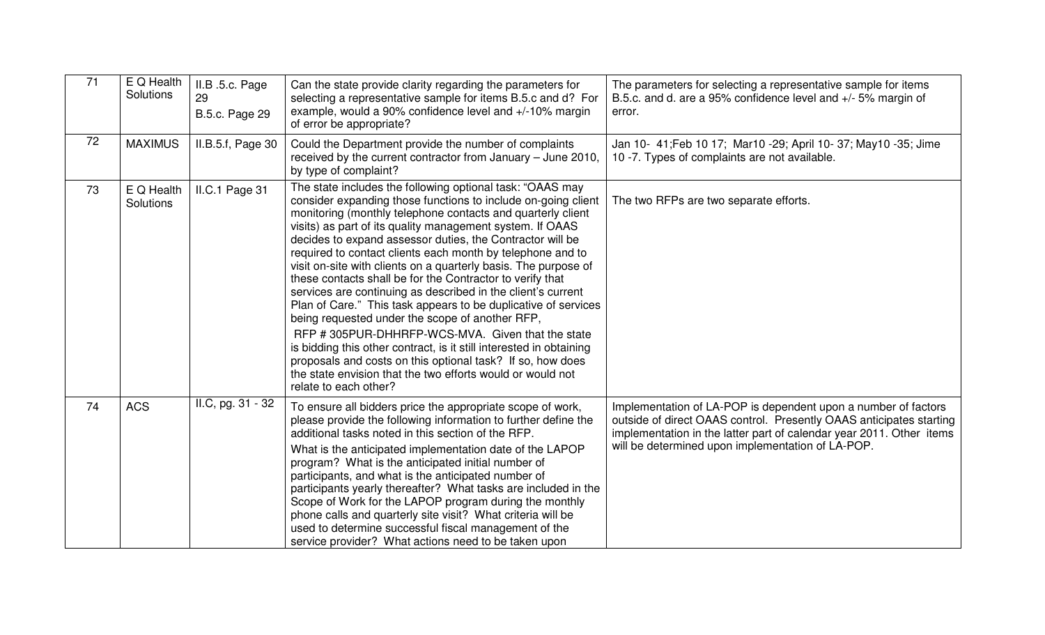| $\overline{71}$ | $E$ Q Health<br>Solutions | II.B .5.c. Page<br>29<br><b>B.5.c. Page 29</b> | Can the state provide clarity regarding the parameters for<br>selecting a representative sample for items B.5.c and d? For<br>example, would a 90% confidence level and +/-10% margin<br>of error be appropriate?                                                                                                                                                                                                                                                                                                                                                                                                                                                                                                                                                                                                                                                                                                                                                                      | The parameters for selecting a representative sample for items<br>B.5.c. and d. are a 95% confidence level and +/- 5% margin of<br>error.                                                                                                                          |
|-----------------|---------------------------|------------------------------------------------|----------------------------------------------------------------------------------------------------------------------------------------------------------------------------------------------------------------------------------------------------------------------------------------------------------------------------------------------------------------------------------------------------------------------------------------------------------------------------------------------------------------------------------------------------------------------------------------------------------------------------------------------------------------------------------------------------------------------------------------------------------------------------------------------------------------------------------------------------------------------------------------------------------------------------------------------------------------------------------------|--------------------------------------------------------------------------------------------------------------------------------------------------------------------------------------------------------------------------------------------------------------------|
| 72              | <b>MAXIMUS</b>            | II.B.5.f, Page 30                              | Could the Department provide the number of complaints<br>received by the current contractor from January – June 2010,<br>by type of complaint?                                                                                                                                                                                                                                                                                                                                                                                                                                                                                                                                                                                                                                                                                                                                                                                                                                         | Jan 10- 41; Feb 10 17; Mar10 - 29; April 10- 37; May10 - 35; Jime<br>10 -7. Types of complaints are not available.                                                                                                                                                 |
| 73              | E Q Health<br>Solutions   | II.C.1 Page 31                                 | The state includes the following optional task: "OAAS may<br>consider expanding those functions to include on-going client<br>monitoring (monthly telephone contacts and quarterly client<br>visits) as part of its quality management system. If OAAS<br>decides to expand assessor duties, the Contractor will be<br>required to contact clients each month by telephone and to<br>visit on-site with clients on a quarterly basis. The purpose of<br>these contacts shall be for the Contractor to verify that<br>services are continuing as described in the client's current<br>Plan of Care." This task appears to be duplicative of services<br>being requested under the scope of another RFP,<br>RFP #305PUR-DHHRFP-WCS-MVA. Given that the state<br>is bidding this other contract, is it still interested in obtaining<br>proposals and costs on this optional task? If so, how does<br>the state envision that the two efforts would or would not<br>relate to each other? | The two RFPs are two separate efforts.                                                                                                                                                                                                                             |
| 74              | <b>ACS</b>                | II.C, pg. 31 - 32                              | To ensure all bidders price the appropriate scope of work,<br>please provide the following information to further define the<br>additional tasks noted in this section of the RFP.<br>What is the anticipated implementation date of the LAPOP<br>program? What is the anticipated initial number of<br>participants, and what is the anticipated number of<br>participants yearly thereafter? What tasks are included in the<br>Scope of Work for the LAPOP program during the monthly<br>phone calls and quarterly site visit? What criteria will be<br>used to determine successful fiscal management of the<br>service provider? What actions need to be taken upon                                                                                                                                                                                                                                                                                                                | Implementation of LA-POP is dependent upon a number of factors<br>outside of direct OAAS control. Presently OAAS anticipates starting<br>implementation in the latter part of calendar year 2011. Other items<br>will be determined upon implementation of LA-POP. |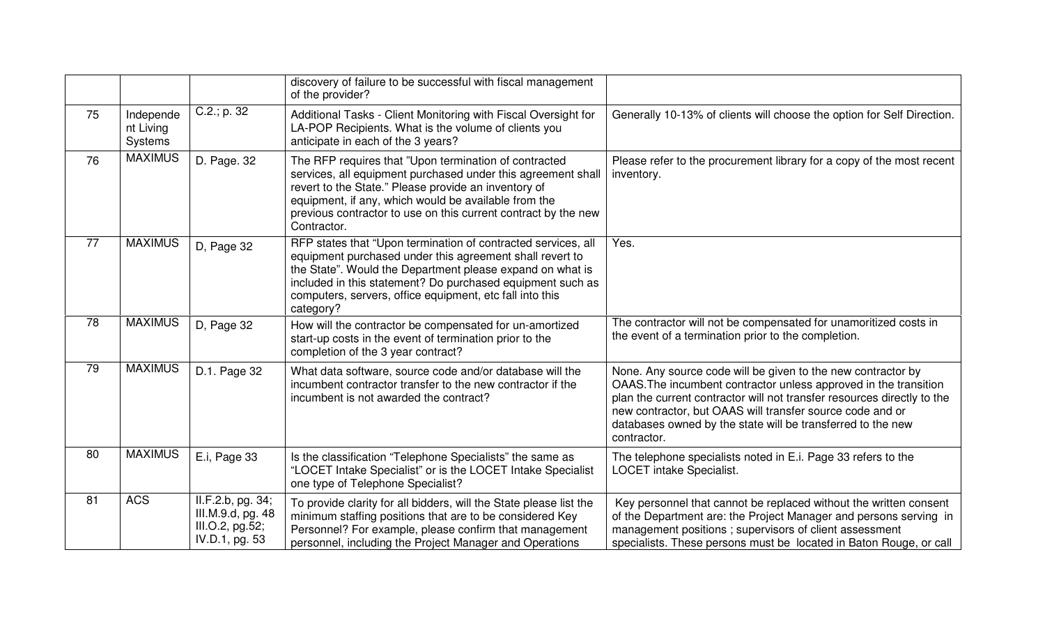|    |                                          |                                                                             | discovery of failure to be successful with fiscal management<br>of the provider?                                                                                                                                                                                                                                              |                                                                                                                                                                                                                                                                                                                                                        |
|----|------------------------------------------|-----------------------------------------------------------------------------|-------------------------------------------------------------------------------------------------------------------------------------------------------------------------------------------------------------------------------------------------------------------------------------------------------------------------------|--------------------------------------------------------------------------------------------------------------------------------------------------------------------------------------------------------------------------------------------------------------------------------------------------------------------------------------------------------|
| 75 | Independe<br>nt Living<br><b>Systems</b> | $C.2$ .; p. 32                                                              | Additional Tasks - Client Monitoring with Fiscal Oversight for<br>LA-POP Recipients. What is the volume of clients you<br>anticipate in each of the 3 years?                                                                                                                                                                  | Generally 10-13% of clients will choose the option for Self Direction.                                                                                                                                                                                                                                                                                 |
| 76 | <b>MAXIMUS</b>                           | D. Page. 32                                                                 | The RFP requires that "Upon termination of contracted<br>services, all equipment purchased under this agreement shall<br>revert to the State." Please provide an inventory of<br>equipment, if any, which would be available from the<br>previous contractor to use on this current contract by the new<br>Contractor.        | Please refer to the procurement library for a copy of the most recent<br>inventory.                                                                                                                                                                                                                                                                    |
| 77 | <b>MAXIMUS</b>                           | D, Page 32                                                                  | RFP states that "Upon termination of contracted services, all<br>equipment purchased under this agreement shall revert to<br>the State". Would the Department please expand on what is<br>included in this statement? Do purchased equipment such as<br>computers, servers, office equipment, etc fall into this<br>category? | Yes.                                                                                                                                                                                                                                                                                                                                                   |
| 78 | <b>MAXIMUS</b>                           | D, Page 32                                                                  | How will the contractor be compensated for un-amortized<br>start-up costs in the event of termination prior to the<br>completion of the 3 year contract?                                                                                                                                                                      | The contractor will not be compensated for unamoritized costs in<br>the event of a termination prior to the completion.                                                                                                                                                                                                                                |
| 79 | <b>MAXIMUS</b>                           | D.1. Page 32                                                                | What data software, source code and/or database will the<br>incumbent contractor transfer to the new contractor if the<br>incumbent is not awarded the contract?                                                                                                                                                              | None. Any source code will be given to the new contractor by<br>OAAS. The incumbent contractor unless approved in the transition<br>plan the current contractor will not transfer resources directly to the<br>new contractor, but OAAS will transfer source code and or<br>databases owned by the state will be transferred to the new<br>contractor. |
| 80 | <b>MAXIMUS</b>                           | E.i, Page 33                                                                | Is the classification "Telephone Specialists" the same as<br>"LOCET Intake Specialist" or is the LOCET Intake Specialist<br>one type of Telephone Specialist?                                                                                                                                                                 | The telephone specialists noted in E.i. Page 33 refers to the<br><b>LOCET</b> intake Specialist.                                                                                                                                                                                                                                                       |
| 81 | <b>ACS</b>                               | II.F.2.b, pg. 34;<br>III.M.9.d, pg. 48<br>III.O.2, pg.52;<br>IV.D.1, pg. 53 | To provide clarity for all bidders, will the State please list the<br>minimum staffing positions that are to be considered Key<br>Personnel? For example, please confirm that management<br>personnel, including the Project Manager and Operations                                                                           | Key personnel that cannot be replaced without the written consent<br>of the Department are: the Project Manager and persons serving in<br>management positions ; supervisors of client assessment<br>specialists. These persons must be located in Baton Rouge, or call                                                                                |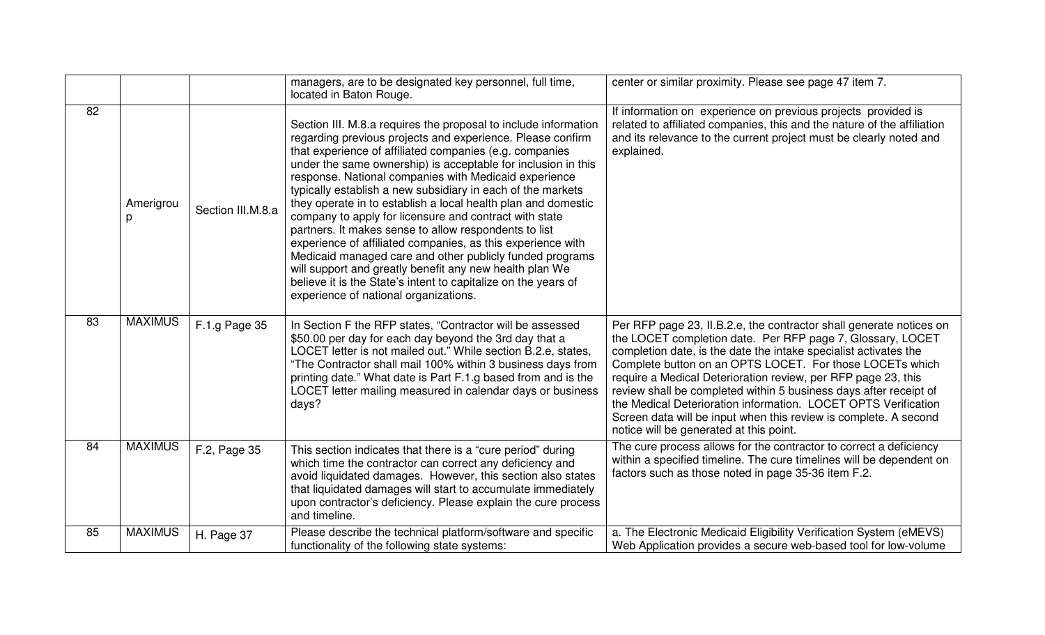|                 |                |                   | managers, are to be designated key personnel, full time,<br>located in Baton Rouge.                                                                                                                                                                                                                                                                                                                                                                                                                                                                                                                                                                                                                                                                                                                                                                                    | center or similar proximity. Please see page 47 item 7.                                                                                                                                                                                                                                                                                                                                                                                                                                                                                                                                  |
|-----------------|----------------|-------------------|------------------------------------------------------------------------------------------------------------------------------------------------------------------------------------------------------------------------------------------------------------------------------------------------------------------------------------------------------------------------------------------------------------------------------------------------------------------------------------------------------------------------------------------------------------------------------------------------------------------------------------------------------------------------------------------------------------------------------------------------------------------------------------------------------------------------------------------------------------------------|------------------------------------------------------------------------------------------------------------------------------------------------------------------------------------------------------------------------------------------------------------------------------------------------------------------------------------------------------------------------------------------------------------------------------------------------------------------------------------------------------------------------------------------------------------------------------------------|
| 82              | Amerigrou<br>р | Section III.M.8.a | Section III. M.8.a requires the proposal to include information<br>regarding previous projects and experience. Please confirm<br>that experience of affiliated companies (e.g. companies<br>under the same ownership) is acceptable for inclusion in this<br>response. National companies with Medicaid experience<br>typically establish a new subsidiary in each of the markets<br>they operate in to establish a local health plan and domestic<br>company to apply for licensure and contract with state<br>partners. It makes sense to allow respondents to list<br>experience of affiliated companies, as this experience with<br>Medicaid managed care and other publicly funded programs<br>will support and greatly benefit any new health plan We<br>believe it is the State's intent to capitalize on the years of<br>experience of national organizations. | If information on experience on previous projects provided is<br>related to affiliated companies, this and the nature of the affiliation<br>and its relevance to the current project must be clearly noted and<br>explained.                                                                                                                                                                                                                                                                                                                                                             |
| $\overline{83}$ | <b>MAXIMUS</b> | F.1.g Page 35     | In Section F the RFP states, "Contractor will be assessed<br>\$50.00 per day for each day beyond the 3rd day that a<br>LOCET letter is not mailed out." While section B.2.e, states,<br>"The Contractor shall mail 100% within 3 business days from<br>printing date." What date is Part F.1.g based from and is the<br>LOCET letter mailing measured in calendar days or business<br>days?                                                                                                                                                                                                                                                                                                                                                                                                                                                                            | Per RFP page 23, II.B.2.e, the contractor shall generate notices on<br>the LOCET completion date. Per RFP page 7, Glossary, LOCET<br>completion date, is the date the intake specialist activates the<br>Complete button on an OPTS LOCET. For those LOCETs which<br>require a Medical Deterioration review, per RFP page 23, this<br>review shall be completed within 5 business days after receipt of<br>the Medical Deterioration information. LOCET OPTS Verification<br>Screen data will be input when this review is complete. A second<br>notice will be generated at this point. |
| 84              | <b>MAXIMUS</b> | F.2, Page 35      | This section indicates that there is a "cure period" during<br>which time the contractor can correct any deficiency and<br>avoid liquidated damages. However, this section also states<br>that liquidated damages will start to accumulate immediately<br>upon contractor's deficiency. Please explain the cure process<br>and timeline.                                                                                                                                                                                                                                                                                                                                                                                                                                                                                                                               | The cure process allows for the contractor to correct a deficiency<br>within a specified timeline. The cure timelines will be dependent on<br>factors such as those noted in page 35-36 item F.2.                                                                                                                                                                                                                                                                                                                                                                                        |
| 85              | <b>MAXIMUS</b> | H. Page 37        | Please describe the technical platform/software and specific<br>functionality of the following state systems:                                                                                                                                                                                                                                                                                                                                                                                                                                                                                                                                                                                                                                                                                                                                                          | a. The Electronic Medicaid Eligibility Verification System (eMEVS)<br>Web Application provides a secure web-based tool for low-volume                                                                                                                                                                                                                                                                                                                                                                                                                                                    |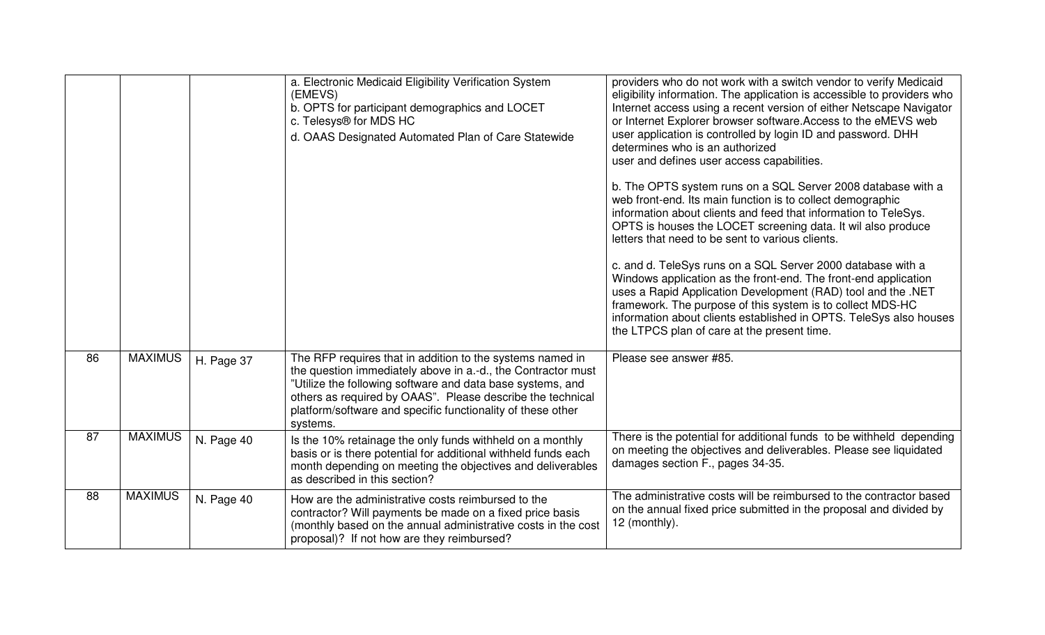|    |                |            | a. Electronic Medicaid Eligibility Verification System<br>(EMEVS)<br>b. OPTS for participant demographics and LOCET<br>c. Telesys® for MDS HC<br>d. OAAS Designated Automated Plan of Care Statewide                                                                                                                             | providers who do not work with a switch vendor to verify Medicaid<br>eligibility information. The application is accessible to providers who<br>Internet access using a recent version of either Netscape Navigator<br>or Internet Explorer browser software. Access to the eMEVS web<br>user application is controlled by login ID and password. DHH<br>determines who is an authorized<br>user and defines user access capabilities.<br>b. The OPTS system runs on a SQL Server 2008 database with a<br>web front-end. Its main function is to collect demographic<br>information about clients and feed that information to TeleSys.<br>OPTS is houses the LOCET screening data. It wil also produce<br>letters that need to be sent to various clients.<br>c. and d. TeleSys runs on a SQL Server 2000 database with a<br>Windows application as the front-end. The front-end application<br>uses a Rapid Application Development (RAD) tool and the .NET<br>framework. The purpose of this system is to collect MDS-HC<br>information about clients established in OPTS. TeleSys also houses<br>the LTPCS plan of care at the present time. |
|----|----------------|------------|----------------------------------------------------------------------------------------------------------------------------------------------------------------------------------------------------------------------------------------------------------------------------------------------------------------------------------|--------------------------------------------------------------------------------------------------------------------------------------------------------------------------------------------------------------------------------------------------------------------------------------------------------------------------------------------------------------------------------------------------------------------------------------------------------------------------------------------------------------------------------------------------------------------------------------------------------------------------------------------------------------------------------------------------------------------------------------------------------------------------------------------------------------------------------------------------------------------------------------------------------------------------------------------------------------------------------------------------------------------------------------------------------------------------------------------------------------------------------------------------|
| 86 | <b>MAXIMUS</b> | H. Page 37 | The RFP requires that in addition to the systems named in<br>the question immediately above in a.-d., the Contractor must<br>"Utilize the following software and data base systems, and<br>others as required by OAAS". Please describe the technical<br>platform/software and specific functionality of these other<br>systems. | Please see answer #85.                                                                                                                                                                                                                                                                                                                                                                                                                                                                                                                                                                                                                                                                                                                                                                                                                                                                                                                                                                                                                                                                                                                           |
| 87 | <b>MAXIMUS</b> | N. Page 40 | Is the 10% retainage the only funds withheld on a monthly<br>basis or is there potential for additional withheld funds each<br>month depending on meeting the objectives and deliverables<br>as described in this section?                                                                                                       | There is the potential for additional funds to be withheld depending<br>on meeting the objectives and deliverables. Please see liquidated<br>damages section F., pages 34-35.                                                                                                                                                                                                                                                                                                                                                                                                                                                                                                                                                                                                                                                                                                                                                                                                                                                                                                                                                                    |
| 88 | <b>MAXIMUS</b> | N. Page 40 | How are the administrative costs reimbursed to the<br>contractor? Will payments be made on a fixed price basis<br>(monthly based on the annual administrative costs in the cost<br>proposal)? If not how are they reimbursed?                                                                                                    | The administrative costs will be reimbursed to the contractor based<br>on the annual fixed price submitted in the proposal and divided by<br>12 (monthly).                                                                                                                                                                                                                                                                                                                                                                                                                                                                                                                                                                                                                                                                                                                                                                                                                                                                                                                                                                                       |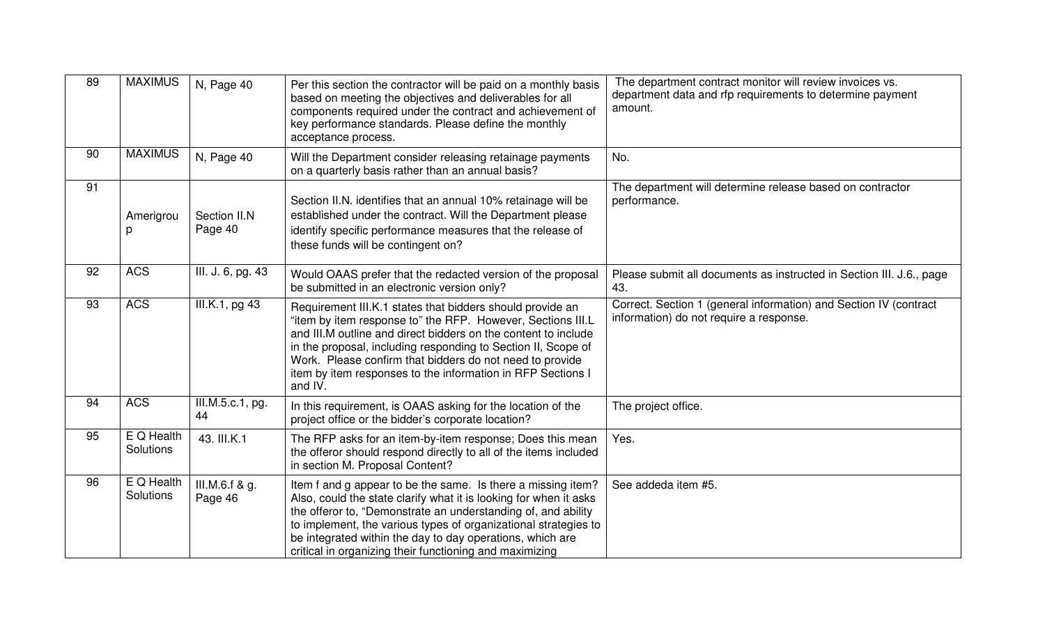| 89 | <b>MAXIMUS</b>          | N, Page 40                          | The department contract monitor will review invoices vs.<br>Per this section the contractor will be paid on a monthly basis<br>department data and rfp requirements to determine payment<br>based on meeting the objectives and deliverables for all<br>amount.<br>components required under the contract and achievement of<br>key performance standards. Please define the monthly<br>acceptance process. |                                                                                                              |
|----|-------------------------|-------------------------------------|-------------------------------------------------------------------------------------------------------------------------------------------------------------------------------------------------------------------------------------------------------------------------------------------------------------------------------------------------------------------------------------------------------------|--------------------------------------------------------------------------------------------------------------|
| 90 | <b>MAXIMUS</b>          | N, Page 40                          | Will the Department consider releasing retainage payments<br>on a quarterly basis rather than an annual basis?                                                                                                                                                                                                                                                                                              | No.                                                                                                          |
| 91 | Amerigrou<br>D.         | Section II.N<br>Page 40             | Section II.N. identifies that an annual 10% retainage will be<br>established under the contract. Will the Department please<br>identify specific performance measures that the release of<br>these funds will be contingent on?                                                                                                                                                                             | The department will determine release based on contractor<br>performance.                                    |
| 92 | <b>ACS</b>              | III. J. 6, pg. 43                   | Would OAAS prefer that the redacted version of the proposal<br>be submitted in an electronic version only?                                                                                                                                                                                                                                                                                                  | Please submit all documents as instructed in Section III. J.6., page<br>43.                                  |
| 93 | <b>ACS</b>              | $\overline{\text{III.K.}}$ 1, pg 43 | Requirement III.K.1 states that bidders should provide an<br>"item by item response to" the RFP. However, Sections III.L<br>and III.M outline and direct bidders on the content to include<br>in the proposal, including responding to Section II, Scope of<br>Work. Please confirm that bidders do not need to provide<br>item by item responses to the information in RFP Sections I<br>and IV.           | Correct. Section 1 (general information) and Section IV (contract<br>information) do not require a response. |
| 94 | <b>ACS</b>              | III.M.5.c.1, pg.<br>44              | In this requirement, is OAAS asking for the location of the<br>project office or the bidder's corporate location?                                                                                                                                                                                                                                                                                           | The project office.                                                                                          |
| 95 | E Q Health<br>Solutions | 43. III.K.1                         | The RFP asks for an item-by-item response; Does this mean<br>the offeror should respond directly to all of the items included<br>in section M. Proposal Content?                                                                                                                                                                                                                                            | Yes.                                                                                                         |
| 96 | E Q Health<br>Solutions | III.M.6.f & g.<br>Page 46           | Item f and g appear to be the same. Is there a missing item?<br>Also, could the state clarify what it is looking for when it asks<br>the offeror to, "Demonstrate an understanding of, and ability<br>to implement, the various types of organizational strategies to<br>be integrated within the day to day operations, which are<br>critical in organizing their functioning and maximizing               | See addeda item #5.                                                                                          |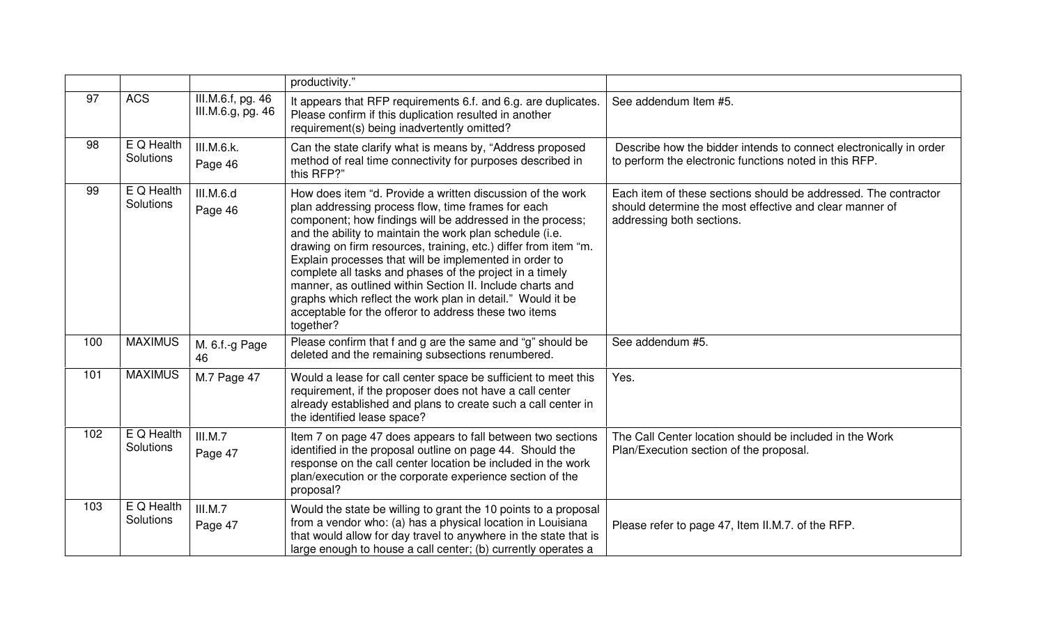|     |                           |                                        | productivity."                                                                                                                                                                                                                                                                                                                                                                                                                                                                                                                                                                                                                      |                                                                                                                                                         |
|-----|---------------------------|----------------------------------------|-------------------------------------------------------------------------------------------------------------------------------------------------------------------------------------------------------------------------------------------------------------------------------------------------------------------------------------------------------------------------------------------------------------------------------------------------------------------------------------------------------------------------------------------------------------------------------------------------------------------------------------|---------------------------------------------------------------------------------------------------------------------------------------------------------|
| 97  | <b>ACS</b>                | III.M.6.f, pg. 46<br>III.M.6.g, pg. 46 | It appears that RFP requirements 6.f. and 6.g. are duplicates.<br>Please confirm if this duplication resulted in another<br>requirement(s) being inadvertently omitted?                                                                                                                                                                                                                                                                                                                                                                                                                                                             | See addendum Item #5.                                                                                                                                   |
| 98  | E Q Health<br>Solutions   | III.M.6.k.<br>Page 46                  | Can the state clarify what is means by, "Address proposed<br>method of real time connectivity for purposes described in<br>this RFP?"                                                                                                                                                                                                                                                                                                                                                                                                                                                                                               | Describe how the bidder intends to connect electronically in order<br>to perform the electronic functions noted in this RFP.                            |
| 99  | E Q Health<br>Solutions   | III.M.6.d<br>Page 46                   | How does item "d. Provide a written discussion of the work<br>plan addressing process flow, time frames for each<br>component; how findings will be addressed in the process;<br>and the ability to maintain the work plan schedule (i.e.<br>drawing on firm resources, training, etc.) differ from item "m.<br>Explain processes that will be implemented in order to<br>complete all tasks and phases of the project in a timely<br>manner, as outlined within Section II. Include charts and<br>graphs which reflect the work plan in detail." Would it be<br>acceptable for the offeror to address these two items<br>together? | Each item of these sections should be addressed. The contractor<br>should determine the most effective and clear manner of<br>addressing both sections. |
| 100 | <b>MAXIMUS</b>            | M. 6.f.-g Page<br>46                   | Please confirm that f and g are the same and "g" should be<br>deleted and the remaining subsections renumbered.                                                                                                                                                                                                                                                                                                                                                                                                                                                                                                                     | See addendum #5.                                                                                                                                        |
| 101 | <b>MAXIMUS</b>            | M.7 Page 47                            | Would a lease for call center space be sufficient to meet this<br>requirement, if the proposer does not have a call center<br>already established and plans to create such a call center in<br>the identified lease space?                                                                                                                                                                                                                                                                                                                                                                                                          | Yes.                                                                                                                                                    |
| 102 | $E$ Q Health<br>Solutions | III.M.7<br>Page 47                     | Item 7 on page 47 does appears to fall between two sections<br>identified in the proposal outline on page 44. Should the<br>response on the call center location be included in the work<br>plan/execution or the corporate experience section of the<br>proposal?                                                                                                                                                                                                                                                                                                                                                                  | The Call Center location should be included in the Work<br>Plan/Execution section of the proposal.                                                      |
| 103 | E Q Health<br>Solutions   | III.M.7<br>Page 47                     | Would the state be willing to grant the 10 points to a proposal<br>from a vendor who: (a) has a physical location in Louisiana<br>that would allow for day travel to anywhere in the state that is<br>large enough to house a call center; (b) currently operates a                                                                                                                                                                                                                                                                                                                                                                 | Please refer to page 47, Item II.M.7. of the RFP.                                                                                                       |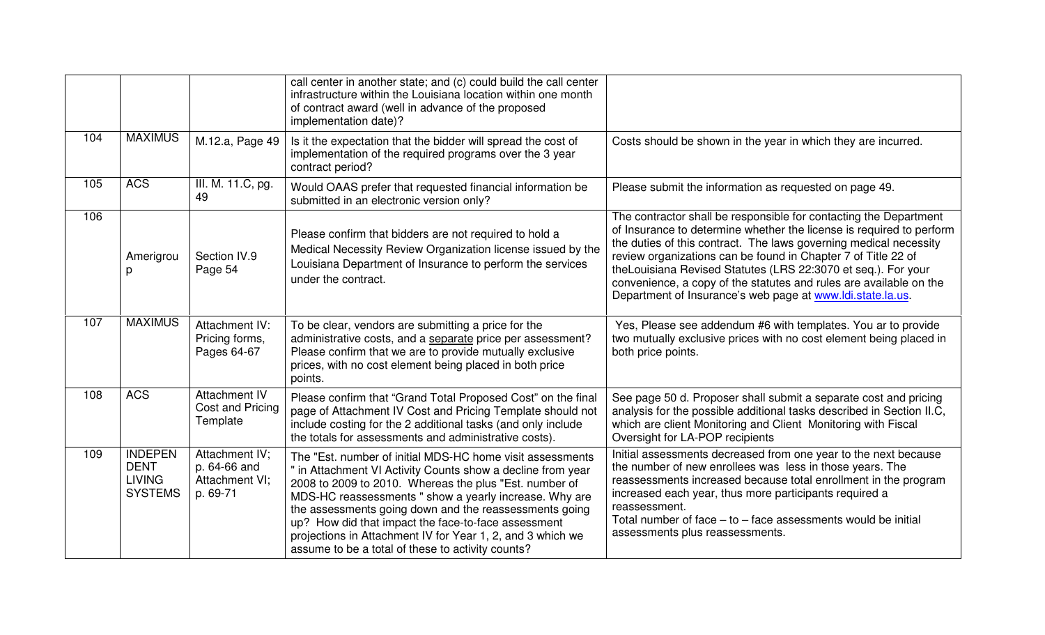|     |                                                                  |                                                              | call center in another state; and (c) could build the call center<br>infrastructure within the Louisiana location within one month<br>of contract award (well in advance of the proposed<br>implementation date)?                                                                                                                                                                                                                                                                |                                                                                                                                                                                                                                                                                                                                                                                                                                                                                      |
|-----|------------------------------------------------------------------|--------------------------------------------------------------|----------------------------------------------------------------------------------------------------------------------------------------------------------------------------------------------------------------------------------------------------------------------------------------------------------------------------------------------------------------------------------------------------------------------------------------------------------------------------------|--------------------------------------------------------------------------------------------------------------------------------------------------------------------------------------------------------------------------------------------------------------------------------------------------------------------------------------------------------------------------------------------------------------------------------------------------------------------------------------|
| 104 | <b>MAXIMUS</b>                                                   | M.12.a, Page 49                                              | Is it the expectation that the bidder will spread the cost of<br>implementation of the required programs over the 3 year<br>contract period?                                                                                                                                                                                                                                                                                                                                     | Costs should be shown in the year in which they are incurred.                                                                                                                                                                                                                                                                                                                                                                                                                        |
| 105 | <b>ACS</b>                                                       | III. M. 11.C, pg.<br>49                                      | Would OAAS prefer that requested financial information be<br>submitted in an electronic version only?                                                                                                                                                                                                                                                                                                                                                                            | Please submit the information as requested on page 49.                                                                                                                                                                                                                                                                                                                                                                                                                               |
| 106 | Amerigrou<br>p                                                   | Section IV.9<br>Page 54                                      | Please confirm that bidders are not required to hold a<br>Medical Necessity Review Organization license issued by the<br>Louisiana Department of Insurance to perform the services<br>under the contract.                                                                                                                                                                                                                                                                        | The contractor shall be responsible for contacting the Department<br>of Insurance to determine whether the license is required to perform<br>the duties of this contract. The laws governing medical necessity<br>review organizations can be found in Chapter 7 of Title 22 of<br>theLouisiana Revised Statutes (LRS 22:3070 et seq.). For your<br>convenience, a copy of the statutes and rules are available on the<br>Department of Insurance's web page at www.ldi.state.la.us. |
| 107 | <b>MAXIMUS</b>                                                   | Attachment IV:<br>Pricing forms,<br>Pages 64-67              | To be clear, vendors are submitting a price for the<br>administrative costs, and a separate price per assessment?<br>Please confirm that we are to provide mutually exclusive<br>prices, with no cost element being placed in both price<br>points.                                                                                                                                                                                                                              | Yes, Please see addendum #6 with templates. You ar to provide<br>two mutually exclusive prices with no cost element being placed in<br>both price points.                                                                                                                                                                                                                                                                                                                            |
| 108 | <b>ACS</b>                                                       | <b>Attachment IV</b><br>Cost and Pricing<br>Template         | Please confirm that "Grand Total Proposed Cost" on the final<br>page of Attachment IV Cost and Pricing Template should not<br>include costing for the 2 additional tasks (and only include<br>the totals for assessments and administrative costs).                                                                                                                                                                                                                              | See page 50 d. Proposer shall submit a separate cost and pricing<br>analysis for the possible additional tasks described in Section II.C,<br>which are client Monitoring and Client Monitoring with Fiscal<br>Oversight for LA-POP recipients                                                                                                                                                                                                                                        |
| 109 | <b>INDEPEN</b><br><b>DENT</b><br><b>LIVING</b><br><b>SYSTEMS</b> | Attachment IV;<br>p. 64-66 and<br>Attachment VI;<br>p. 69-71 | The "Est. number of initial MDS-HC home visit assessments<br>" in Attachment VI Activity Counts show a decline from year<br>2008 to 2009 to 2010. Whereas the plus "Est. number of<br>MDS-HC reassessments " show a yearly increase. Why are<br>the assessments going down and the reassessments going<br>up? How did that impact the face-to-face assessment<br>projections in Attachment IV for Year 1, 2, and 3 which we<br>assume to be a total of these to activity counts? | Initial assessments decreased from one year to the next because<br>the number of new enrollees was less in those years. The<br>reassessments increased because total enrollment in the program<br>increased each year, thus more participants required a<br>reassessment.<br>Total number of face $-$ to $-$ face assessments would be initial<br>assessments plus reassessments.                                                                                                    |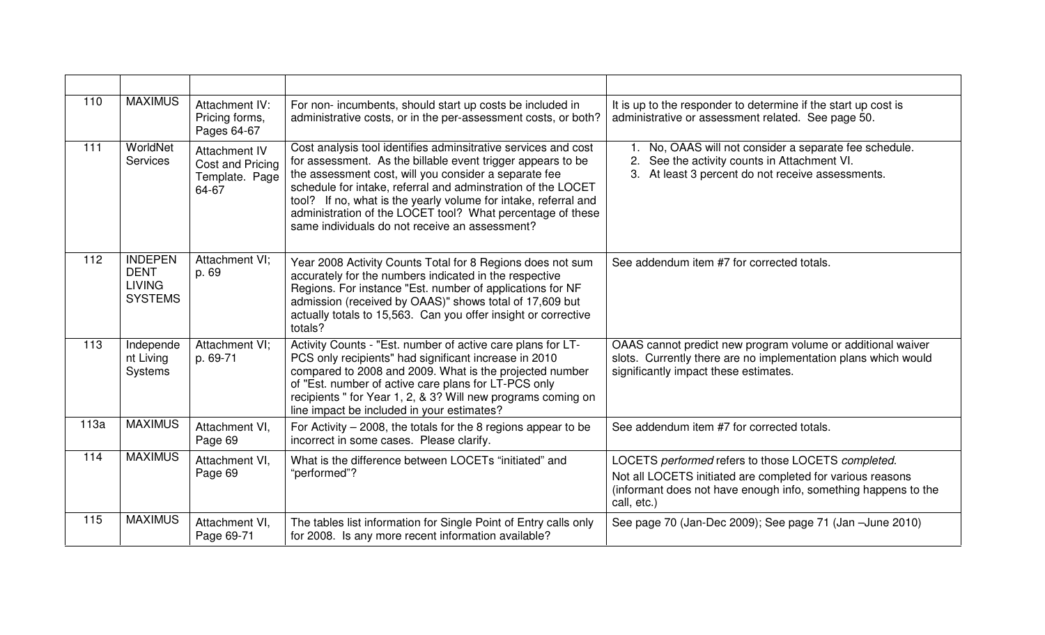| 110  | <b>MAXIMUS</b>                                                   | Attachment IV:<br>Pricing forms,<br>Pages 64-67              | For non-incumbents, should start up costs be included in<br>administrative costs, or in the per-assessment costs, or both?                                                                                                                                                                                                                                                                                                                | It is up to the responder to determine if the start up cost is<br>administrative or assessment related. See page 50.                                                                              |
|------|------------------------------------------------------------------|--------------------------------------------------------------|-------------------------------------------------------------------------------------------------------------------------------------------------------------------------------------------------------------------------------------------------------------------------------------------------------------------------------------------------------------------------------------------------------------------------------------------|---------------------------------------------------------------------------------------------------------------------------------------------------------------------------------------------------|
| 111  | WorldNet<br><b>Services</b>                                      | Attachment IV<br>Cost and Pricing<br>Template. Page<br>64-67 | Cost analysis tool identifies adminsitrative services and cost<br>for assessment. As the billable event trigger appears to be<br>the assessment cost, will you consider a separate fee<br>schedule for intake, referral and adminstration of the LOCET<br>tool? If no, what is the yearly volume for intake, referral and<br>administration of the LOCET tool? What percentage of these<br>same individuals do not receive an assessment? | No, OAAS will not consider a separate fee schedule.<br>See the activity counts in Attachment VI.<br>At least 3 percent do not receive assessments.                                                |
| 112  | <b>INDEPEN</b><br><b>DENT</b><br><b>LIVING</b><br><b>SYSTEMS</b> | Attachment VI;<br>p. 69                                      | Year 2008 Activity Counts Total for 8 Regions does not sum<br>accurately for the numbers indicated in the respective<br>Regions. For instance "Est. number of applications for NF<br>admission (received by OAAS)" shows total of 17,609 but<br>actually totals to 15,563. Can you offer insight or corrective<br>totals?                                                                                                                 | See addendum item #7 for corrected totals.                                                                                                                                                        |
| 113  | Independe<br>nt Living<br>Systems                                | Attachment VI;<br>p. 69-71                                   | Activity Counts - "Est. number of active care plans for LT-<br>PCS only recipients" had significant increase in 2010<br>compared to 2008 and 2009. What is the projected number<br>of "Est. number of active care plans for LT-PCS only<br>recipients " for Year 1, 2, & 3? Will new programs coming on<br>line impact be included in your estimates?                                                                                     | OAAS cannot predict new program volume or additional waiver<br>slots. Currently there are no implementation plans which would<br>significantly impact these estimates.                            |
| 113a | <b>MAXIMUS</b>                                                   | Attachment VI,<br>Page 69                                    | For Activity $-$ 2008, the totals for the 8 regions appear to be<br>incorrect in some cases. Please clarify.                                                                                                                                                                                                                                                                                                                              | See addendum item #7 for corrected totals.                                                                                                                                                        |
| 114  | <b>MAXIMUS</b>                                                   | Attachment VI.<br>Page 69                                    | What is the difference between LOCETs "initiated" and<br>"performed"?                                                                                                                                                                                                                                                                                                                                                                     | LOCETS performed refers to those LOCETS completed.<br>Not all LOCETS initiated are completed for various reasons<br>(informant does not have enough info, something happens to the<br>call, etc.) |
| 115  | <b>MAXIMUS</b>                                                   | Attachment VI,<br>Page 69-71                                 | The tables list information for Single Point of Entry calls only<br>for 2008. Is any more recent information available?                                                                                                                                                                                                                                                                                                                   | See page 70 (Jan-Dec 2009); See page 71 (Jan -June 2010)                                                                                                                                          |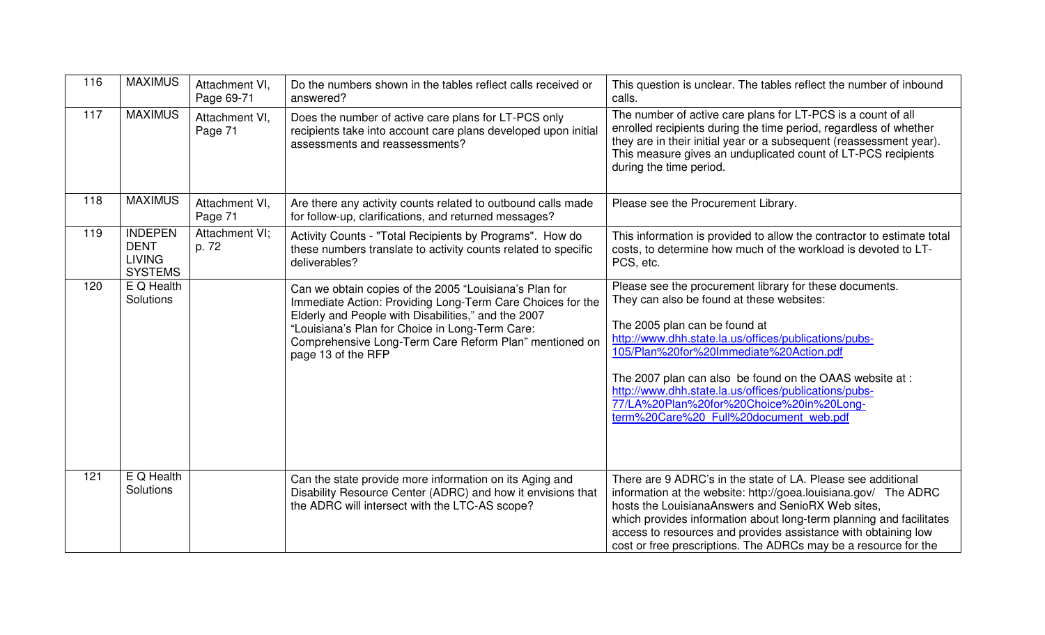| 116 | <b>MAXIMUS</b>                                                   | Attachment VI,<br>Page 69-71 | Do the numbers shown in the tables reflect calls received or<br>answered?                                                                                                                                                                                                                                      | This question is unclear. The tables reflect the number of inbound<br>calls.                                                                                                                                                                                                                                                                                                                                                                         |
|-----|------------------------------------------------------------------|------------------------------|----------------------------------------------------------------------------------------------------------------------------------------------------------------------------------------------------------------------------------------------------------------------------------------------------------------|------------------------------------------------------------------------------------------------------------------------------------------------------------------------------------------------------------------------------------------------------------------------------------------------------------------------------------------------------------------------------------------------------------------------------------------------------|
| 117 | <b>MAXIMUS</b>                                                   | Attachment VI,<br>Page 71    | Does the number of active care plans for LT-PCS only<br>recipients take into account care plans developed upon initial<br>assessments and reassessments?                                                                                                                                                       | The number of active care plans for LT-PCS is a count of all<br>enrolled recipients during the time period, regardless of whether<br>they are in their initial year or a subsequent (reassessment year).<br>This measure gives an unduplicated count of LT-PCS recipients<br>during the time period.                                                                                                                                                 |
| 118 | <b>MAXIMUS</b>                                                   | Attachment VI,<br>Page 71    | Are there any activity counts related to outbound calls made<br>for follow-up, clarifications, and returned messages?                                                                                                                                                                                          | Please see the Procurement Library.                                                                                                                                                                                                                                                                                                                                                                                                                  |
| 119 | <b>INDEPEN</b><br><b>DENT</b><br><b>LIVING</b><br><b>SYSTEMS</b> | Attachment VI;<br>p. 72      | Activity Counts - "Total Recipients by Programs". How do<br>these numbers translate to activity counts related to specific<br>deliverables?                                                                                                                                                                    | This information is provided to allow the contractor to estimate total<br>costs, to determine how much of the workload is devoted to LT-<br>PCS, etc.                                                                                                                                                                                                                                                                                                |
| 120 | E Q Health<br>Solutions                                          |                              | Can we obtain copies of the 2005 "Louisiana's Plan for<br>Immediate Action: Providing Long-Term Care Choices for the<br>Elderly and People with Disabilities," and the 2007<br>"Louisiana's Plan for Choice in Long-Term Care:<br>Comprehensive Long-Term Care Reform Plan" mentioned on<br>page 13 of the RFP | Please see the procurement library for these documents.<br>They can also be found at these websites:<br>The 2005 plan can be found at<br>http://www.dhh.state.la.us/offices/publications/pubs-<br>105/Plan%20for%20Immediate%20Action.pdf<br>The 2007 plan can also be found on the OAAS website at :<br>http://www.dhh.state.la.us/offices/publications/pubs-<br>77/LA%20Plan%20for%20Choice%20in%20Long-<br>term%20Care%20 Full%20document web.pdf |
| 121 | $E$ Q Health<br>Solutions                                        |                              | Can the state provide more information on its Aging and<br>Disability Resource Center (ADRC) and how it envisions that<br>the ADRC will intersect with the LTC-AS scope?                                                                                                                                       | There are 9 ADRC's in the state of LA. Please see additional<br>information at the website: http://goea.louisiana.gov/ The ADRC<br>hosts the LouisianaAnswers and SenioRX Web sites,<br>which provides information about long-term planning and facilitates<br>access to resources and provides assistance with obtaining low<br>cost or free prescriptions. The ADRCs may be a resource for the                                                     |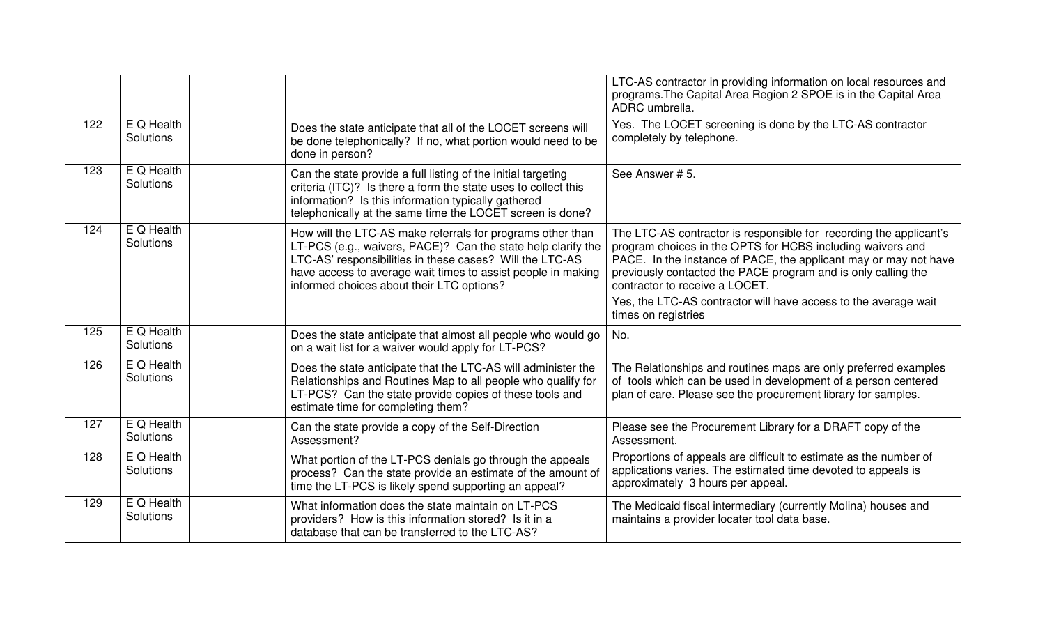|     |                         |                                                                                                                                                                                                                                                                                                     | LTC-AS contractor in providing information on local resources and<br>programs. The Capital Area Region 2 SPOE is in the Capital Area<br>ADRC umbrella.                                                                                                                                                  |
|-----|-------------------------|-----------------------------------------------------------------------------------------------------------------------------------------------------------------------------------------------------------------------------------------------------------------------------------------------------|---------------------------------------------------------------------------------------------------------------------------------------------------------------------------------------------------------------------------------------------------------------------------------------------------------|
| 122 | E Q Health<br>Solutions | Does the state anticipate that all of the LOCET screens will<br>be done telephonically? If no, what portion would need to be<br>done in person?                                                                                                                                                     | Yes. The LOCET screening is done by the LTC-AS contractor<br>completely by telephone.                                                                                                                                                                                                                   |
| 123 | E Q Health<br>Solutions | Can the state provide a full listing of the initial targeting<br>criteria (ITC)? Is there a form the state uses to collect this<br>information? Is this information typically gathered<br>telephonically at the same time the LOCET screen is done?                                                 | See Answer # 5.                                                                                                                                                                                                                                                                                         |
| 124 | E Q Health<br>Solutions | How will the LTC-AS make referrals for programs other than<br>LT-PCS (e.g., waivers, PACE)? Can the state help clarify the<br>LTC-AS' responsibilities in these cases? Will the LTC-AS<br>have access to average wait times to assist people in making<br>informed choices about their LTC options? | The LTC-AS contractor is responsible for recording the applicant's<br>program choices in the OPTS for HCBS including waivers and<br>PACE. In the instance of PACE, the applicant may or may not have<br>previously contacted the PACE program and is only calling the<br>contractor to receive a LOCET. |
|     |                         |                                                                                                                                                                                                                                                                                                     | Yes, the LTC-AS contractor will have access to the average wait<br>times on registries                                                                                                                                                                                                                  |
| 125 | E Q Health<br>Solutions | Does the state anticipate that almost all people who would go<br>on a wait list for a waiver would apply for LT-PCS?                                                                                                                                                                                | No.                                                                                                                                                                                                                                                                                                     |
| 126 | E Q Health<br>Solutions | Does the state anticipate that the LTC-AS will administer the<br>Relationships and Routines Map to all people who qualify for<br>LT-PCS? Can the state provide copies of these tools and<br>estimate time for completing them?                                                                      | The Relationships and routines maps are only preferred examples<br>of tools which can be used in development of a person centered<br>plan of care. Please see the procurement library for samples.                                                                                                      |
| 127 | E Q Health<br>Solutions | Can the state provide a copy of the Self-Direction<br>Assessment?                                                                                                                                                                                                                                   | Please see the Procurement Library for a DRAFT copy of the<br>Assessment.                                                                                                                                                                                                                               |
| 128 | E Q Health<br>Solutions | What portion of the LT-PCS denials go through the appeals<br>process? Can the state provide an estimate of the amount of<br>time the LT-PCS is likely spend supporting an appeal?                                                                                                                   | Proportions of appeals are difficult to estimate as the number of<br>applications varies. The estimated time devoted to appeals is<br>approximately 3 hours per appeal.                                                                                                                                 |
| 129 | E Q Health<br>Solutions | What information does the state maintain on LT-PCS<br>providers? How is this information stored? Is it in a<br>database that can be transferred to the LTC-AS?                                                                                                                                      | The Medicaid fiscal intermediary (currently Molina) houses and<br>maintains a provider locater tool data base.                                                                                                                                                                                          |